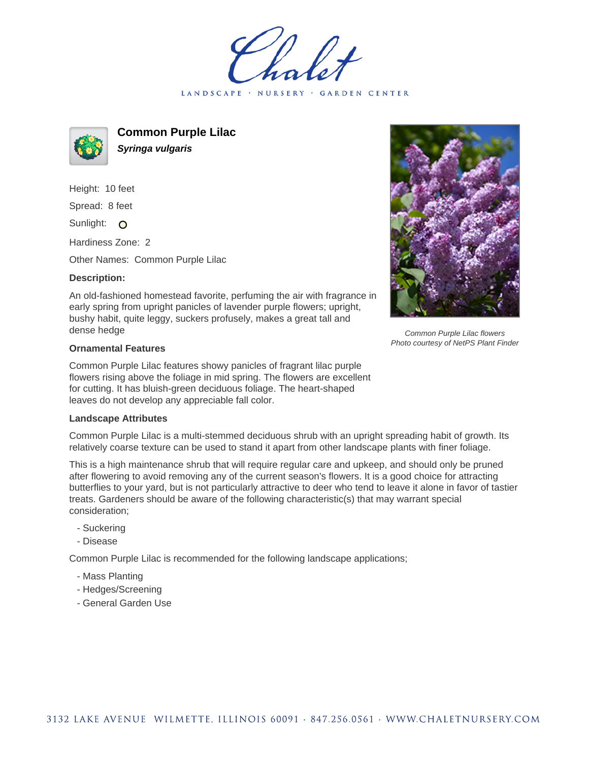LANDSCAPE · NURSERY · GARDEN CENTER



**Common Purple Lilac Syringa vulgaris**

Height: 10 feet Spread: 8 feet Sunlight: O

Hardiness Zone: 2

Other Names: Common Purple Lilac

## **Description:**

An old-fashioned homestead favorite, perfuming the air with fragrance in early spring from upright panicles of lavender purple flowers; upright, bushy habit, quite leggy, suckers profusely, makes a great tall and dense hedge

## **Ornamental Features**

Common Purple Lilac features showy panicles of fragrant lilac purple flowers rising above the foliage in mid spring. The flowers are excellent for cutting. It has bluish-green deciduous foliage. The heart-shaped leaves do not develop any appreciable fall color.

## **Landscape Attributes**

Common Purple Lilac is a multi-stemmed deciduous shrub with an upright spreading habit of growth. Its relatively coarse texture can be used to stand it apart from other landscape plants with finer foliage.

This is a high maintenance shrub that will require regular care and upkeep, and should only be pruned after flowering to avoid removing any of the current season's flowers. It is a good choice for attracting butterflies to your yard, but is not particularly attractive to deer who tend to leave it alone in favor of tastier treats. Gardeners should be aware of the following characteristic(s) that may warrant special consideration;

- Suckering
- Disease

Common Purple Lilac is recommended for the following landscape applications;

- Mass Planting
- Hedges/Screening
- General Garden Use



Common Purple Lilac flowers Photo courtesy of NetPS Plant Finder